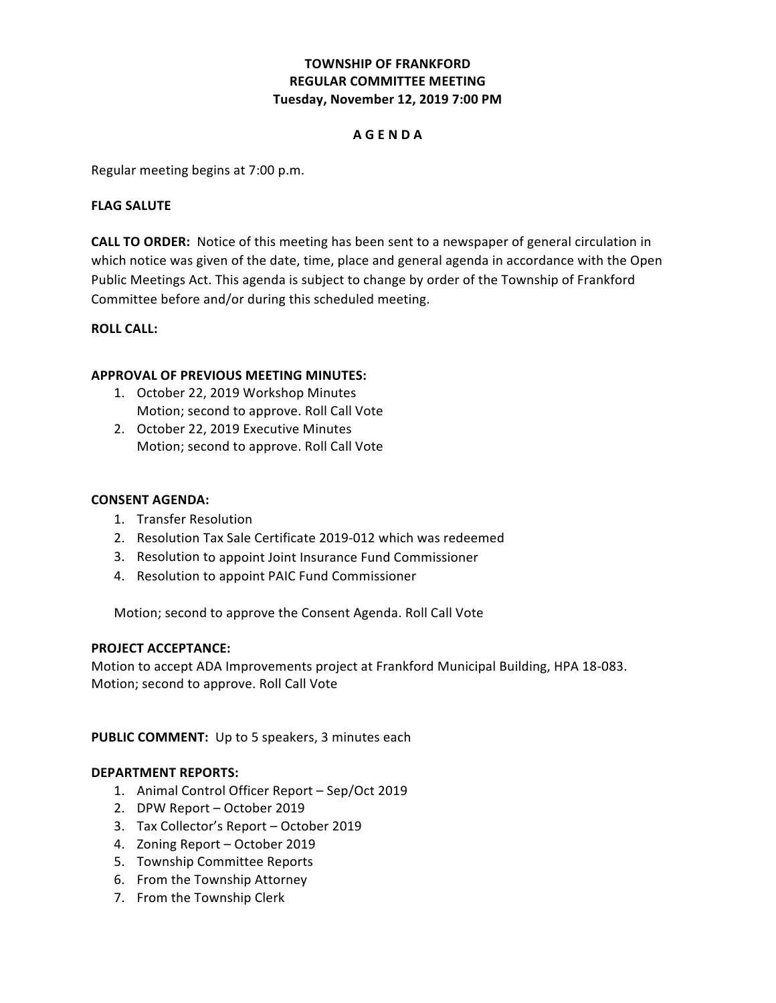# **TOWNSHIP OF FRANKFORD Tuesday, November 12, 2019 7:00 PM REGULAR COMMITTEE MEETING**

### **A G E N D A**

 Regular meeting begins at 7:00 p.m.

### **FLAG SALUTE**

**CALL TO ORDER:** Notice of this meeting has been sent to a newspaper of general circulation in which notice was given of the date, time, place and general agenda in accordance with the Open Public Meetings Act. This agenda is subject to change by order of the Township of Frankford Committee before and/or during this scheduled meeting.

## **ROLL CALL:**

## **APPROVAL OF PREVIOUS MEETING MINUTES:**

- Motion; second to approve. Roll Call Vote 1. October 22, 2019 Workshop Minutes
- 2. October 22, 2019 Executive Minutes Motion; second to approve. Roll Call Vote

## **CONSENT AGENDA:**

- 1. Transfer Resolution
- 2. Resolution Tax Sale Certificate 2019-012 which was redeemed
- 3. Resolution to appoint Joint Insurance Fund Commissioner
- 4. Resolution to appoint PAIC Fund Commissioner

 Motion; second to approve the Consent Agenda. Roll Call Vote

#### **PROJECT ACCEPTANCE:**

Motion to accept ADA Improvements project at Frankford Municipal Building, HPA 18-083. Motion; second to approve. Roll Call Vote

PUBLIC COMMENT: Up to 5 speakers, 3 minutes each

#### **DEPARTMENT REPORTS:**

- 1. Animal Control Officer Report Sep/Oct 2019
- 2. DPW Report October 2019
- 3. Tax Collector's Report October 2019
- 4. Zoning Report October 2019
- 5. Township Committee Reports
- 6. From the Township Attorney
- 7. From the Township Clerk